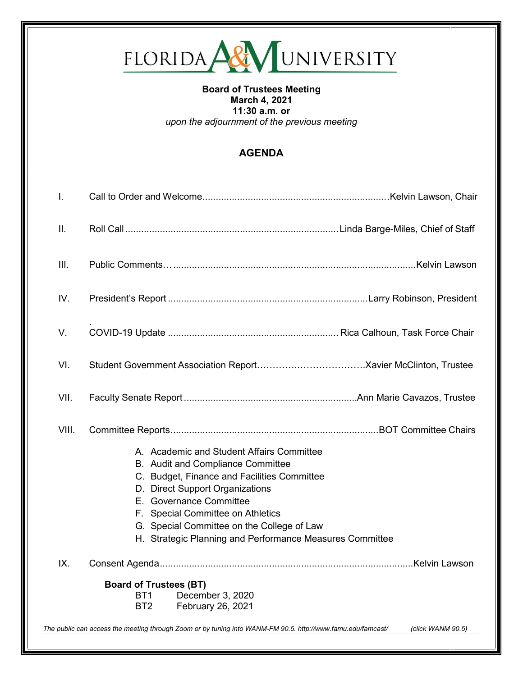

## **Board of Trustees Meeting March 4, 2021 11:30 a.m. or** *upon the adjournment of the previous meeting*

## **AGENDA**

| I.    |                                                                                                                                                                                                                                                                                                                                            |                   |
|-------|--------------------------------------------------------------------------------------------------------------------------------------------------------------------------------------------------------------------------------------------------------------------------------------------------------------------------------------------|-------------------|
| Ш.    |                                                                                                                                                                                                                                                                                                                                            |                   |
| III.  |                                                                                                                                                                                                                                                                                                                                            |                   |
| IV.   |                                                                                                                                                                                                                                                                                                                                            |                   |
| V.    |                                                                                                                                                                                                                                                                                                                                            |                   |
| VI.   |                                                                                                                                                                                                                                                                                                                                            |                   |
| VII.  |                                                                                                                                                                                                                                                                                                                                            |                   |
| VIII. |                                                                                                                                                                                                                                                                                                                                            |                   |
|       | A. Academic and Student Affairs Committee<br>B. Audit and Compliance Committee<br>C. Budget, Finance and Facilities Committee<br>D. Direct Support Organizations<br>E. Governance Committee<br>F. Special Committee on Athletics<br>G. Special Committee on the College of Law<br>H. Strategic Planning and Performance Measures Committee |                   |
| IX.   |                                                                                                                                                                                                                                                                                                                                            |                   |
|       | <b>Board of Trustees (BT)</b><br>December 3, 2020<br>BT <sub>1</sub><br>February 26, 2021<br>BT <sub>2</sub>                                                                                                                                                                                                                               |                   |
|       | The public can access the meeting through Zoom or by tuning into WANM-FM 90.5. http://www.famu.edu/famcast/                                                                                                                                                                                                                                | (click WANM 90.5) |